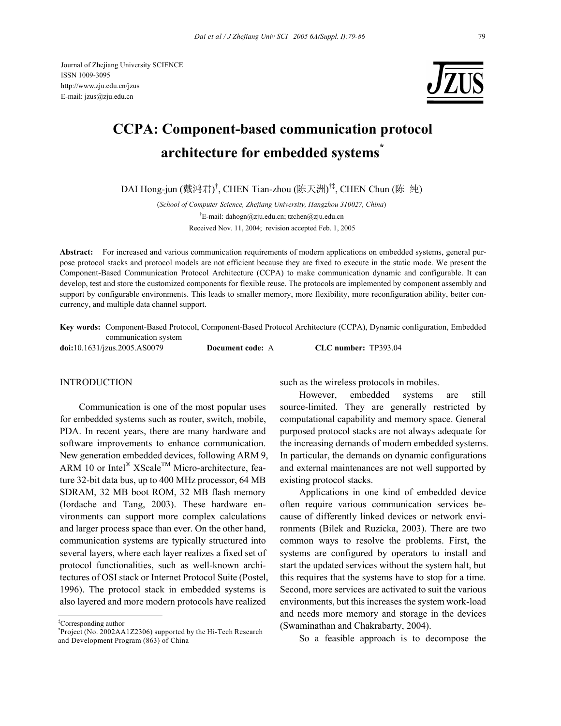Journal of Zhejiang University SCIENCE ISSN 1009-3095 http://www.zju.edu.cn/jzus E-mail: jzus@zju.edu.cn



# **CCPA: Component-based communication protocol architecture for embedded systems\***

DAI Hong-jun (戴鸿君)<sup>†</sup>, CHEN Tian-zhou (陈天洲)<sup>†‡</sup>, CHEN Chun (陈 纯)

(*School of Computer Science, Zhejiang University, Hangzhou 310027, China*) † E-mail: dahogn@zju.edu.cn; tzchen@zju.edu.cn Received Nov. 11, 2004; revision accepted Feb. 1, 2005

**Abstract:** For increased and various communication requirements of modern applications on embedded systems, general purpose protocol stacks and protocol models are not efficient because they are fixed to execute in the static mode. We present the Component-Based Communication Protocol Architecture (CCPA) to make communication dynamic and configurable. It can develop, test and store the customized components for flexible reuse. The protocols are implemented by component assembly and support by configurable environments. This leads to smaller memory, more flexibility, more reconfiguration ability, better concurrency, and multiple data channel support.

**Key words:** Component-Based Protocol, Component-Based Protocol Architecture (CCPA), Dynamic configuration, Embedded communication system

| $\text{doi: } 10.1631/jzus.2005.AS0079$ | <b>Document code:</b> A | $CLC$ number: $TP393.04$ |  |
|-----------------------------------------|-------------------------|--------------------------|--|
|                                         |                         |                          |  |

# **INTRODUCTION**

Communication is one of the most popular uses for embedded systems such as router, switch, mobile, PDA. In recent years, there are many hardware and software improvements to enhance communication. New generation embedded devices, following ARM 9, ARM 10 or Intel® XScale<sup>TM</sup> Micro-architecture, feature 32-bit data bus, up to 400 MHz processor, 64 MB SDRAM, 32 MB boot ROM, 32 MB flash memory (Iordache and Tang, 2003). These hardware environments can support more complex calculations and larger process space than ever. On the other hand, communication systems are typically structured into several layers, where each layer realizes a fixed set of protocol functionalities, such as well-known architectures of OSI stack or Internet Protocol Suite (Postel, 1996). The protocol stack in embedded systems is also layered and more modern protocols have realized

‡ Corresponding author

such as the wireless protocols in mobiles.

However, embedded systems are still source-limited. They are generally restricted by computational capability and memory space. General purposed protocol stacks are not always adequate for the increasing demands of modern embedded systems. In particular, the demands on dynamic configurations and external maintenances are not well supported by existing protocol stacks.

Applications in one kind of embedded device often require various communication services because of differently linked devices or network environments (Bilek and Ruzicka, 2003). There are two common ways to resolve the problems. First, the systems are configured by operators to install and start the updated services without the system halt, but this requires that the systems have to stop for a time. Second, more services are activated to suit the various environments, but this increases the system work-load and needs more memory and storage in the devices (Swaminathan and Chakrabarty, 2004).

So a feasible approach is to decompose the

<sup>\*</sup> Project (No. 2002AA1Z2306) supported by the Hi-Tech Research and Development Program (863) of China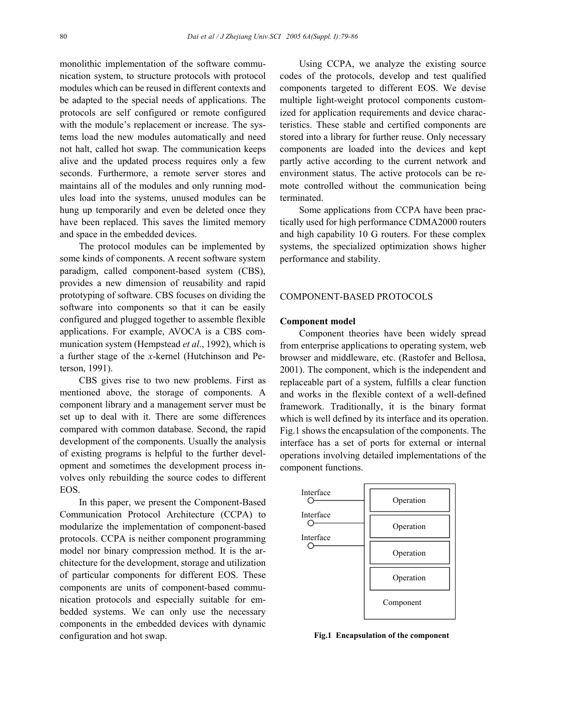monolithic implementation of the software communication system, to structure protocols with protocol modules which can be reused in different contexts and be adapted to the special needs of applications. The protocols are self configured or remote configured with the module's replacement or increase. The systems load the new modules automatically and need not halt, called hot swap. The communication keeps alive and the updated process requires only a few seconds. Furthermore, a remote server stores and maintains all of the modules and only running modules load into the systems, unused modules can be hung up temporarily and even be deleted once they have been replaced. This saves the limited memory and space in the embedded devices.

The protocol modules can be implemented by some kinds of components. A recent software system paradigm, called component-based system (CBS), provides a new dimension of reusability and rapid prototyping of software. CBS focuses on dividing the software into components so that it can be easily configured and plugged together to assemble flexible applications. For example, AVOCA is a CBS communication system (Hempstead *et al*., 1992), which is a further stage of the *x*-kernel (Hutchinson and Peterson, 1991).

CBS gives rise to two new problems. First as mentioned above, the storage of components. A component library and a management server must be set up to deal with it. There are some differences compared with common database. Second, the rapid development of the components. Usually the analysis of existing programs is helpful to the further development and sometimes the development process involves only rebuilding the source codes to different EOS.

In this paper, we present the Component-Based Communication Protocol Architecture (CCPA) to modularize the implementation of component-based protocols. CCPA is neither component programming model nor binary compression method. It is the architecture for the development, storage and utilization of particular components for different EOS. These components are units of component-based communication protocols and especially suitable for embedded systems. We can only use the necessary components in the embedded devices with dynamic configuration and hot swap.

Using CCPA, we analyze the existing source codes of the protocols, develop and test qualified components targeted to different EOS. We devise multiple light-weight protocol components customized for application requirements and device characteristics. These stable and certified components are stored into a library for further reuse. Only necessary components are loaded into the devices and kept partly active according to the current network and environment status. The active protocols can be remote controlled without the communication being terminated.

Some applications from CCPA have been practically used for high performance CDMA2000 routers and high capability 10 G routers. For these complex systems, the specialized optimization shows higher performance and stability.

# COMPONENT-BASED PROTOCOLS

#### **Component model**

Component theories have been widely spread from enterprise applications to operating system, web browser and middleware, etc. (Rastofer and Bellosa, 2001). The component, which is the independent and replaceable part of a system, fulfills a clear function and works in the flexible context of a well-defined framework. Traditionally, it is the binary format which is well defined by its interface and its operation. Fig.1 shows the encapsulation of the components. The interface has a set of ports for external or internal operations involving detailed implementations of the component functions.



**Fig.1 Encapsulation of the component**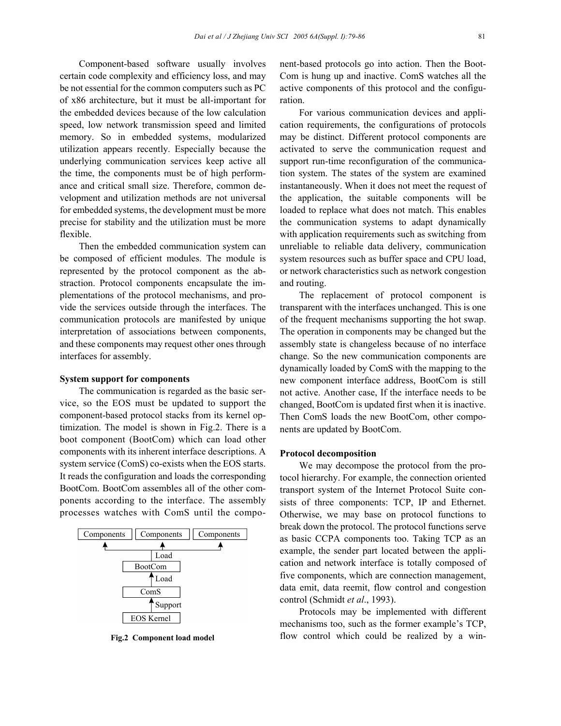Component-based software usually involves certain code complexity and efficiency loss, and may be not essential for the common computers such as PC of x86 architecture, but it must be all-important for the embedded devices because of the low calculation speed, low network transmission speed and limited memory. So in embedded systems, modularized utilization appears recently. Especially because the underlying communication services keep active all the time, the components must be of high performance and critical small size. Therefore, common development and utilization methods are not universal for embedded systems, the development must be more precise for stability and the utilization must be more flexible.

Then the embedded communication system can be composed of efficient modules. The module is represented by the protocol component as the abstraction. Protocol components encapsulate the implementations of the protocol mechanisms, and provide the services outside through the interfaces. The communication protocols are manifested by unique interpretation of associations between components, and these components may request other ones through interfaces for assembly.

#### **System support for components**

The communication is regarded as the basic service, so the EOS must be updated to support the component-based protocol stacks from its kernel optimization. The model is shown in Fig.2. There is a boot component (BootCom) which can load other components with its inherent interface descriptions. A system service (ComS) co-exists when the EOS starts. It reads the configuration and loads the corresponding BootCom. BootCom assembles all of the other components according to the interface. The assembly processes watches with ComS until the compo-



nent-based protocols go into action. Then the Boot-Com is hung up and inactive. ComS watches all the active components of this protocol and the configuration.

For various communication devices and application requirements, the configurations of protocols may be distinct. Different protocol components are activated to serve the communication request and support run-time reconfiguration of the communication system. The states of the system are examined instantaneously. When it does not meet the request of the application, the suitable components will be loaded to replace what does not match. This enables the communication systems to adapt dynamically with application requirements such as switching from unreliable to reliable data delivery, communication system resources such as buffer space and CPU load, or network characteristics such as network congestion and routing.

The replacement of protocol component is transparent with the interfaces unchanged. This is one of the frequent mechanisms supporting the hot swap. The operation in components may be changed but the assembly state is changeless because of no interface change. So the new communication components are dynamically loaded by ComS with the mapping to the new component interface address, BootCom is still not active. Another case, If the interface needs to be changed, BootCom is updated first when it is inactive. Then ComS loads the new BootCom, other components are updated by BootCom.

#### **Protocol decomposition**

We may decompose the protocol from the protocol hierarchy. For example, the connection oriented transport system of the Internet Protocol Suite consists of three components: TCP, IP and Ethernet. Otherwise, we may base on protocol functions to break down the protocol. The protocol functions serve as basic CCPA components too. Taking TCP as an example, the sender part located between the application and network interface is totally composed of five components, which are connection management, data emit, data reemit, flow control and congestion control (Schmidt *et al*., 1993).

Protocols may be implemented with different mechanisms too, such as the former example's TCP, **Fig.2 Component load model** flow control which could be realized by a win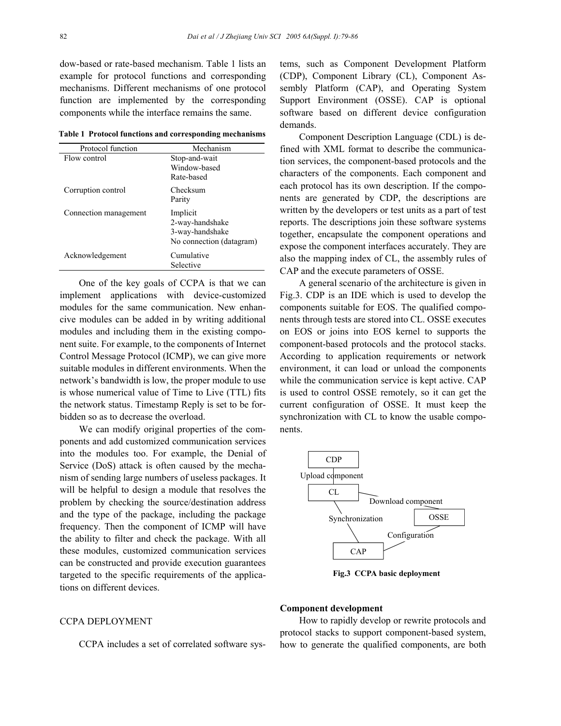dow-based or rate-based mechanism. Table 1 lists an example for protocol functions and corresponding mechanisms. Different mechanisms of one protocol function are implemented by the corresponding components while the interface remains the same.

**Table 1 Protocol functions and corresponding mechanisms** 

| Protocol function     | Mechanism                |  |
|-----------------------|--------------------------|--|
| Flow control          | Stop-and-wait            |  |
|                       | Window-based             |  |
|                       | Rate-based               |  |
| Corruption control    | Checksum                 |  |
|                       | Parity                   |  |
| Connection management | Implicit                 |  |
|                       | 2-way-handshake          |  |
|                       | 3-way-handshake          |  |
|                       | No connection (datagram) |  |
| Acknowledgement       | Cumulative               |  |
|                       | Selective                |  |

One of the key goals of CCPA is that we can implement applications with device-customized modules for the same communication. New enhancive modules can be added in by writing additional modules and including them in the existing component suite. For example, to the components of Internet Control Message Protocol (ICMP), we can give more suitable modules in different environments. When the network's bandwidth is low, the proper module to use is whose numerical value of Time to Live (TTL) fits the network status. Timestamp Reply is set to be forbidden so as to decrease the overload.

We can modify original properties of the components and add customized communication services into the modules too. For example, the Denial of Service (DoS) attack is often caused by the mechanism of sending large numbers of useless packages. It will be helpful to design a module that resolves the problem by checking the source/destination address and the type of the package, including the package frequency. Then the component of ICMP will have the ability to filter and check the package. With all these modules, customized communication services can be constructed and provide execution guarantees targeted to the specific requirements of the applications on different devices.

## CCPA DEPLOYMENT

CCPA includes a set of correlated software sys-

tems, such as Component Development Platform (CDP), Component Library (CL), Component Assembly Platform (CAP), and Operating System Support Environment (OSSE). CAP is optional software based on different device configuration demands.

Component Description Language (CDL) is defined with XML format to describe the communication services, the component-based protocols and the characters of the components. Each component and each protocol has its own description. If the components are generated by CDP, the descriptions are written by the developers or test units as a part of test reports. The descriptions join these software systems together, encapsulate the component operations and expose the component interfaces accurately. They are also the mapping index of CL, the assembly rules of CAP and the execute parameters of OSSE.

A general scenario of the architecture is given in Fig.3. CDP is an IDE which is used to develop the components suitable for EOS. The qualified components through tests are stored into CL. OSSE executes on EOS or joins into EOS kernel to supports the component-based protocols and the protocol stacks. According to application requirements or network environment, it can load or unload the components while the communication service is kept active. CAP is used to control OSSE remotely, so it can get the current configuration of OSSE. It must keep the synchronization with CL to know the usable components.



**Fig.3 CCPA basic deployment** 

#### **Component development**

How to rapidly develop or rewrite protocols and protocol stacks to support component-based system, how to generate the qualified components, are both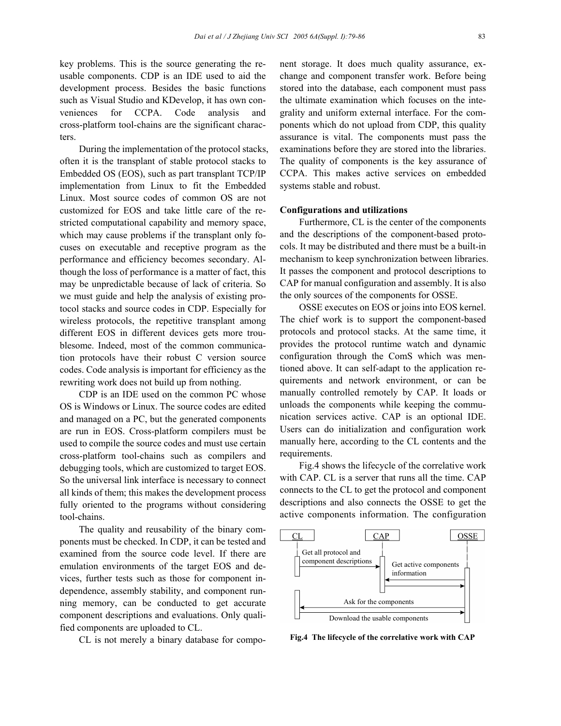key problems. This is the source generating the reusable components. CDP is an IDE used to aid the development process. Besides the basic functions such as Visual Studio and KDevelop, it has own conveniences for CCPA. Code analysis and cross-platform tool-chains are the significant characters.

During the implementation of the protocol stacks, often it is the transplant of stable protocol stacks to Embedded OS (EOS), such as part transplant TCP/IP implementation from Linux to fit the Embedded Linux. Most source codes of common OS are not customized for EOS and take little care of the restricted computational capability and memory space, which may cause problems if the transplant only focuses on executable and receptive program as the performance and efficiency becomes secondary. Although the loss of performance is a matter of fact, this may be unpredictable because of lack of criteria. So we must guide and help the analysis of existing protocol stacks and source codes in CDP. Especially for wireless protocols, the repetitive transplant among different EOS in different devices gets more troublesome. Indeed, most of the common communication protocols have their robust C version source codes. Code analysis is important for efficiency as the rewriting work does not build up from nothing.

CDP is an IDE used on the common PC whose OS is Windows or Linux. The source codes are edited and managed on a PC, but the generated components are run in EOS. Cross-platform compilers must be used to compile the source codes and must use certain cross-platform tool-chains such as compilers and debugging tools, which are customized to target EOS. So the universal link interface is necessary to connect all kinds of them; this makes the development process fully oriented to the programs without considering tool-chains.

The quality and reusability of the binary components must be checked. In CDP, it can be tested and examined from the source code level. If there are emulation environments of the target EOS and devices, further tests such as those for component independence, assembly stability, and component running memory, can be conducted to get accurate component descriptions and evaluations. Only qualified components are uploaded to CL.

CL is not merely a binary database for compo-

nent storage. It does much quality assurance, exchange and component transfer work. Before being stored into the database, each component must pass the ultimate examination which focuses on the integrality and uniform external interface. For the components which do not upload from CDP, this quality assurance is vital. The components must pass the examinations before they are stored into the libraries. The quality of components is the key assurance of CCPA. This makes active services on embedded systems stable and robust.

#### **Configurations and utilizations**

Furthermore, CL is the center of the components and the descriptions of the component-based protocols. It may be distributed and there must be a built-in mechanism to keep synchronization between libraries. It passes the component and protocol descriptions to CAP for manual configuration and assembly. It is also the only sources of the components for OSSE.

OSSE executes on EOS or joins into EOS kernel. The chief work is to support the component-based protocols and protocol stacks. At the same time, it provides the protocol runtime watch and dynamic configuration through the ComS which was mentioned above. It can self-adapt to the application requirements and network environment, or can be manually controlled remotely by CAP. It loads or unloads the components while keeping the communication services active. CAP is an optional IDE. Users can do initialization and configuration work manually here, according to the CL contents and the requirements.

Fig.4 shows the lifecycle of the correlative work with CAP. CL is a server that runs all the time. CAP connects to the CL to get the protocol and component descriptions and also connects the OSSE to get the active components information. The configuration



**Fig.4 The lifecycle of the correlative work with CAP**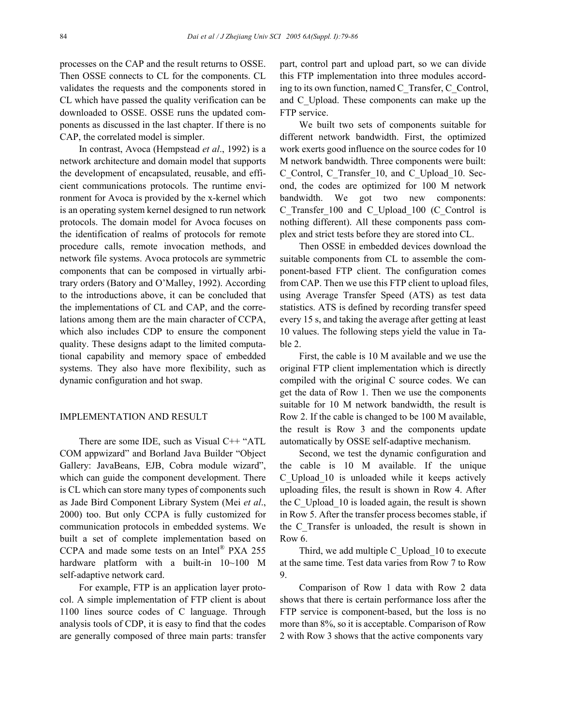processes on the CAP and the result returns to OSSE. Then OSSE connects to CL for the components. CL validates the requests and the components stored in CL which have passed the quality verification can be downloaded to OSSE. OSSE runs the updated components as discussed in the last chapter. If there is no CAP, the correlated model is simpler.

In contrast, Avoca (Hempstead *et al*., 1992) is a network architecture and domain model that supports the development of encapsulated, reusable, and efficient communications protocols. The runtime environment for Avoca is provided by the x-kernel which is an operating system kernel designed to run network protocols. The domain model for Avoca focuses on the identification of realms of protocols for remote procedure calls, remote invocation methods, and network file systems. Avoca protocols are symmetric components that can be composed in virtually arbitrary orders (Batory and O'Malley, 1992). According to the introductions above, it can be concluded that the implementations of CL and CAP, and the correlations among them are the main character of CCPA, which also includes CDP to ensure the component quality. These designs adapt to the limited computational capability and memory space of embedded systems. They also have more flexibility, such as dynamic configuration and hot swap.

#### IMPLEMENTATION AND RESULT

There are some IDE, such as Visual C++ "ATL COM appwizard" and Borland Java Builder "Object Gallery: JavaBeans, EJB, Cobra module wizard", which can guide the component development. There is CL which can store many types of components such as Jade Bird Component Library System (Mei *et al*., 2000) too. But only CCPA is fully customized for communication protocols in embedded systems. We built a set of complete implementation based on CCPA and made some tests on an Intel® PXA 255 hardware platform with a built-in  $10~100$  M self-adaptive network card.

For example, FTP is an application layer protocol. A simple implementation of FTP client is about 1100 lines source codes of C language. Through analysis tools of CDP, it is easy to find that the codes are generally composed of three main parts: transfer part, control part and upload part, so we can divide this FTP implementation into three modules according to its own function, named C\_Transfer, C\_Control, and C\_Upload. These components can make up the FTP service.

We built two sets of components suitable for different network bandwidth. First, the optimized work exerts good influence on the source codes for 10 M network bandwidth. Three components were built: C\_Control, C\_Transfer\_10, and C\_Upload\_10. Second, the codes are optimized for 100 M network bandwidth. We got two new components: C Transfer 100 and C Upload 100 (C Control is nothing different). All these components pass complex and strict tests before they are stored into CL.

Then OSSE in embedded devices download the suitable components from CL to assemble the component-based FTP client. The configuration comes from CAP. Then we use this FTP client to upload files, using Average Transfer Speed (ATS) as test data statistics. ATS is defined by recording transfer speed every 15 s, and taking the average after getting at least 10 values. The following steps yield the value in Table 2.

First, the cable is 10 M available and we use the original FTP client implementation which is directly compiled with the original C source codes. We can get the data of Row 1. Then we use the components suitable for 10 M network bandwidth, the result is Row 2. If the cable is changed to be 100 M available, the result is Row 3 and the components update automatically by OSSE self-adaptive mechanism.

Second, we test the dynamic configuration and the cable is 10 M available. If the unique C\_Upload\_10 is unloaded while it keeps actively uploading files, the result is shown in Row 4. After the C\_Upload\_10 is loaded again, the result is shown in Row 5. After the transfer process becomes stable, if the C\_Transfer is unloaded, the result is shown in Row 6.

Third, we add multiple C\_Upload\_10 to execute at the same time. Test data varies from Row 7 to Row 9.

Comparison of Row 1 data with Row 2 data shows that there is certain performance loss after the FTP service is component-based, but the loss is no more than 8%, so it is acceptable. Comparison of Row 2 with Row 3 shows that the active components vary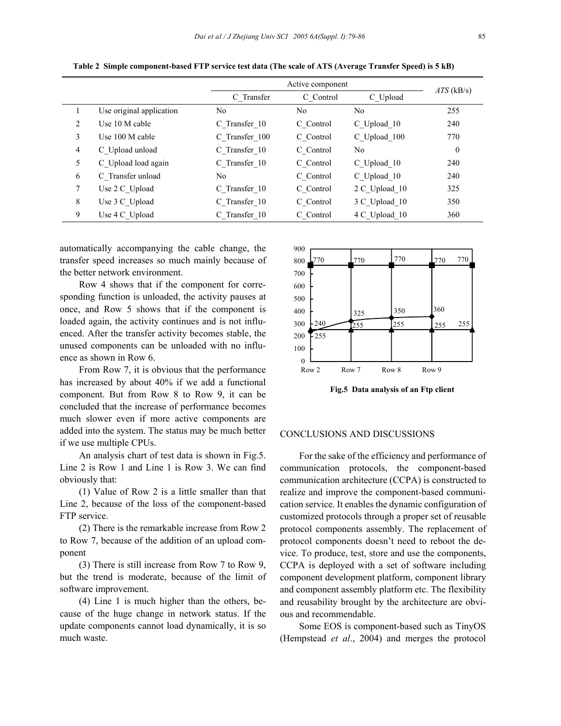|                |                          |                | Active component |                | $ATS$ (kB/s) |
|----------------|--------------------------|----------------|------------------|----------------|--------------|
|                |                          | C Transfer     | C Control        | C Upload       |              |
|                | Use original application | No             | No.              | N <sub>0</sub> | 255          |
| 2              | Use 10 M cable           | C Transfer 10  | C Control        | C Upload 10    | 240          |
| 3              | Use 100 M cable          | C Transfer 100 | C Control        | C Upload 100   | 770          |
| $\overline{4}$ | C Upload unload          | C Transfer 10  | C Control        | N <sub>0</sub> | $\mathbf{0}$ |
| 5              | C Upload load again      | C Transfer 10  | C Control        | C Upload 10    | 240          |
| 6              | C Transfer unload        | No.            | C Control        | C Upload 10    | 240          |
| 7              | Use 2 C Upload           | C Transfer 10  | C Control        | 2 C Upload 10  | 325          |
| 8              | Use 3 C Upload           | C Transfer 10  | C Control        | 3 C Upload 10  | 350          |
| 9              | Use 4 C Upload           | C Transfer 10  | C Control        | 4 C Upload 10  | 360          |

**Table 2 Simple component-based FTP service test data (The scale of ATS (Average Transfer Speed) is 5 kB)** 

automatically accompanying the cable change, the transfer speed increases so much mainly because of the better network environment.

Row 4 shows that if the component for corresponding function is unloaded, the activity pauses at once, and Row 5 shows that if the component is loaded again, the activity continues and is not influenced. After the transfer activity becomes stable, the unused components can be unloaded with no influence as shown in Row 6.

From Row 7, it is obvious that the performance has increased by about 40% if we add a functional component. But from Row 8 to Row 9, it can be concluded that the increase of performance becomes much slower even if more active components are added into the system. The status may be much better if we use multiple CPUs.

An analysis chart of test data is shown in Fig.5. Line 2 is Row 1 and Line 1 is Row 3. We can find obviously that:

(1) Value of Row 2 is a little smaller than that Line 2, because of the loss of the component-based FTP service.

(2) There is the remarkable increase from Row 2 to Row 7, because of the addition of an upload component

(3) There is still increase from Row 7 to Row 9, but the trend is moderate, because of the limit of software improvement.

(4) Line 1 is much higher than the others, because of the huge change in network status. If the update components cannot load dynamically, it is so much waste.



**Fig.5 Data analysis of an Ftp client**

### CONCLUSIONS AND DISCUSSIONS

For the sake of the efficiency and performance of communication protocols, the component-based communication architecture (CCPA) is constructed to realize and improve the component-based communication service. It enables the dynamic configuration of customized protocols through a proper set of reusable protocol components assembly. The replacement of protocol components doesn't need to reboot the device. To produce, test, store and use the components, CCPA is deployed with a set of software including component development platform, component library and component assembly platform etc. The flexibility and reusability brought by the architecture are obvious and recommendable.

Some EOS is component-based such as TinyOS (Hempstead *et al*., 2004) and merges the protocol